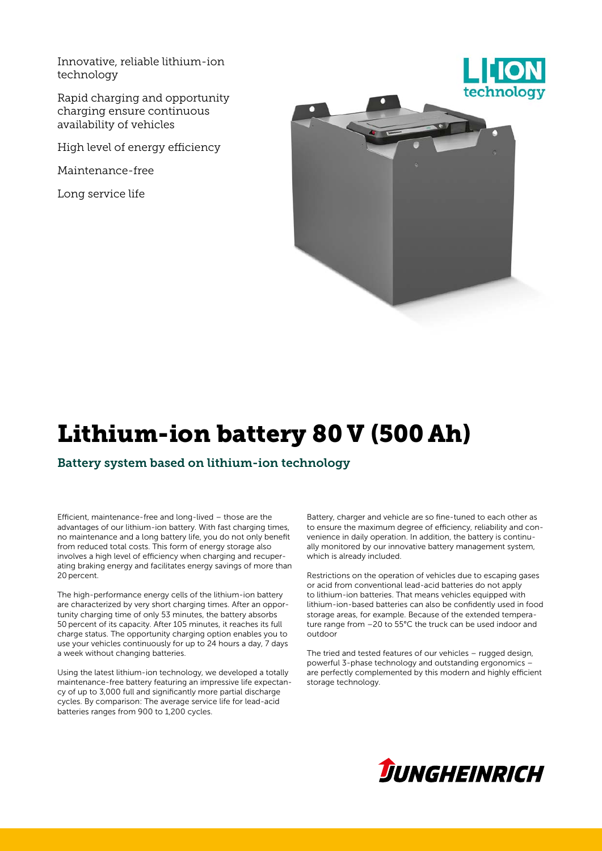Innovative, reliable lithium-ion technology

Rapid charging and opportunity charging ensure continuous availability of vehicles

High level of energy efficiency

Maintenance-free

Long service life



# Lithium-ion battery 80 V (500 Ah)

Battery system based on lithium-ion technology

Efficient, maintenance-free and long-lived – those are the advantages of our lithium-ion battery. With fast charging times, no maintenance and a long battery life, you do not only benefit from reduced total costs. This form of energy storage also involves a high level of efficiency when charging and recuperating braking energy and facilitates energy savings of more than 20 percent.

The high-performance energy cells of the lithium-ion battery are characterized by very short charging times. After an opportunity charging time of only 53 minutes, the battery absorbs 50 percent of its capacity. After 105 minutes, it reaches its full charge status. The opportunity charging option enables you to use your vehicles continuously for up to 24 hours a day, 7 days a week without changing batteries.

Using the latest lithium-ion technology, we developed a totally maintenance-free battery featuring an impressive life expectancy of up to 3,000 full and significantly more partial discharge cycles. By comparison: The average service life for lead-acid batteries ranges from 900 to 1,200 cycles.

Battery, charger and vehicle are so fine-tuned to each other as to ensure the maximum degree of efficiency, reliability and convenience in daily operation. In addition, the battery is continually monitored by our innovative battery management system, which is already included.

Restrictions on the operation of vehicles due to escaping gases or acid from conventional lead-acid batteries do not apply to lithium-ion batteries. That means vehicles equipped with lithium-ion-based batteries can also be confidently used in food storage areas, for example. Because of the extended temperature range from –20 to 55°C the truck can be used indoor and outdoor

The tried and tested features of our vehicles – rugged design, powerful 3-phase technology and outstanding ergonomics – are perfectly complemented by this modern and highly efficient storage technology.

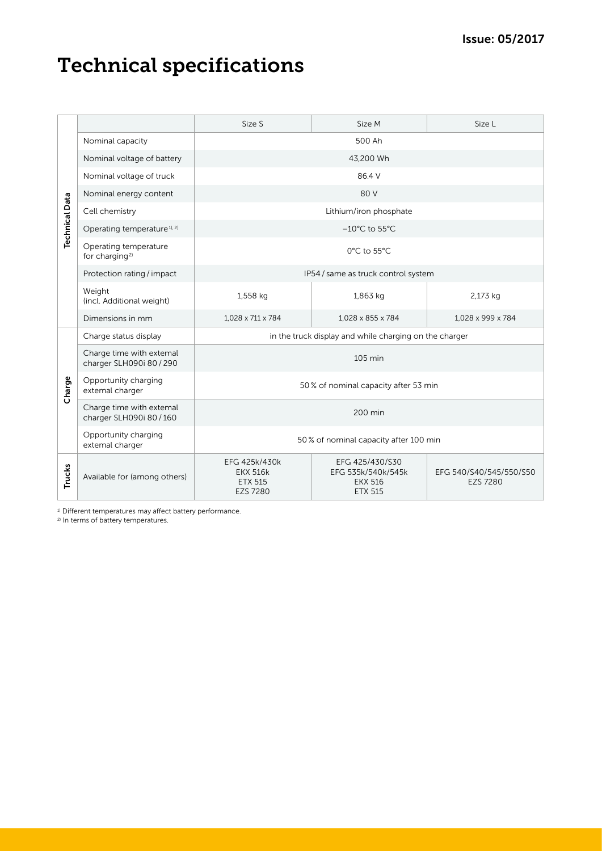## Technical specifications

| <b>Technical Data</b>                                                                                                   |                                                      | Size S                                                                | Size M                                                                    | Size L                                     |
|-------------------------------------------------------------------------------------------------------------------------|------------------------------------------------------|-----------------------------------------------------------------------|---------------------------------------------------------------------------|--------------------------------------------|
|                                                                                                                         | Nominal capacity                                     | 500 Ah                                                                |                                                                           |                                            |
|                                                                                                                         | Nominal voltage of battery                           | 43,200 Wh                                                             |                                                                           |                                            |
|                                                                                                                         | Nominal voltage of truck                             | 86.4 V                                                                |                                                                           |                                            |
|                                                                                                                         | Nominal energy content                               | 80 V                                                                  |                                                                           |                                            |
|                                                                                                                         | Cell chemistry                                       | Lithium/iron phosphate                                                |                                                                           |                                            |
|                                                                                                                         | Operating temperature <sup>1), 2)</sup>              | $-10^{\circ}$ C to 55 $^{\circ}$ C                                    |                                                                           |                                            |
|                                                                                                                         | Operating temperature<br>for charging <sup>2)</sup>  | 0°C to 55°C                                                           |                                                                           |                                            |
|                                                                                                                         | Protection rating / impact                           | IP54 / same as truck control system                                   |                                                                           |                                            |
|                                                                                                                         | Weight<br>(incl. Additional weight)                  | 1,558 kg                                                              | 1,863 kg                                                                  | 2,173 kg                                   |
|                                                                                                                         | Dimensions in mm                                     | 1,028 x 711 x 784                                                     | 1,028 x 855 x 784                                                         | 1,028 x 999 x 784                          |
| Charge                                                                                                                  | Charge status display                                | in the truck display and while charging on the charger                |                                                                           |                                            |
|                                                                                                                         | Charge time with extemal<br>charger SLH090i 80 / 290 | 105 min                                                               |                                                                           |                                            |
|                                                                                                                         | Opportunity charging<br>extemal charger              | 50% of nominal capacity after 53 min                                  |                                                                           |                                            |
|                                                                                                                         | Charge time with extemal<br>charger SLH090i 80 / 160 | 200 min                                                               |                                                                           |                                            |
|                                                                                                                         | Opportunity charging<br>extemal charger              | 50 % of nominal capacity after 100 min                                |                                                                           |                                            |
| <b>Trucks</b>                                                                                                           | Available for (among others)                         | EFG 425k/430k<br><b>EKX 516k</b><br><b>ETX 515</b><br><b>EZS 7280</b> | EFG 425/430/S30<br>EFG 535k/540k/545k<br><b>EKX 516</b><br><b>ETX 515</b> | EFG 540/S40/545/550/S50<br><b>EZS 7280</b> |
| <sup>1)</sup> Different temperatures may affect battery performance.<br><sup>2)</sup> In terms of battery temperatures. |                                                      |                                                                       |                                                                           |                                            |

<sup>1)</sup> Different temperatures may affect battery performance.<br><sup>2)</sup> In terms of battery temperatures.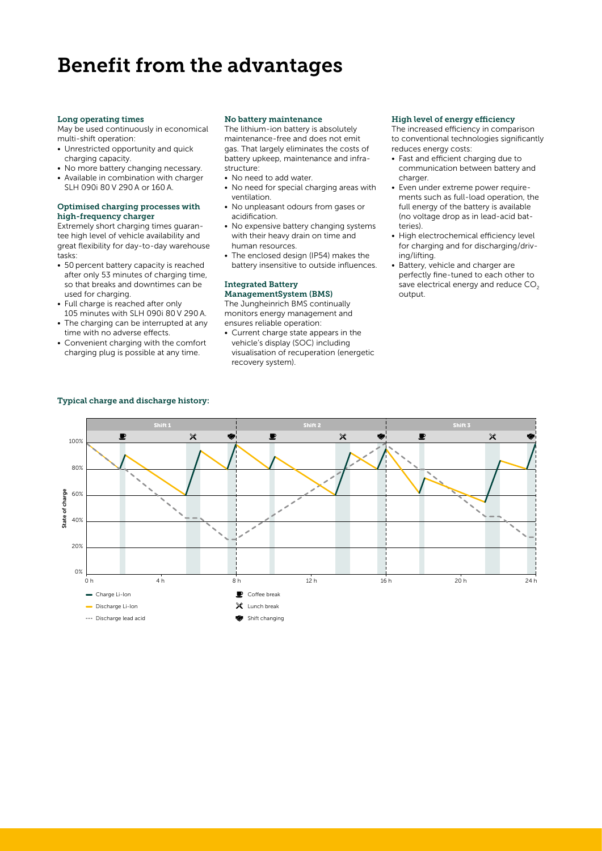### Benefit from the advantages

#### Long operating times

May be used continuously in economical multi-shift operation:

- Unrestricted opportunity and quick charging capacity.
- No more battery changing necessary.
- Available in combination with charger SLH 090i 80 V 290 A or 160 A.

#### Optimised charging processes with high-frequency charger

Extremely short charging times guarantee high level of vehicle availability and great flexibility for day-to-day warehouse tasks:

- 50 percent battery capacity is reached after only 53 minutes of charging time, so that breaks and downtimes can be used for charging.
- Full charge is reached after only 105 minutes with SLH 090i 80 V 290 A.
- The charging can be interrupted at any time with no adverse effects.
- Convenient charging with the comfort charging plug is possible at any time.

#### No battery maintenance

The lithium-ion battery is absolutely maintenance-free and does not emit gas. That largely eliminates the costs of battery upkeep, maintenance and infrastructure:

- No need to add water.
- No need for special charging areas with ventilation.
- No unpleasant odours from gases or acidification.
- No expensive battery changing systems with their heavy drain on time and human resources.
- The enclosed design (IP54) makes the battery insensitive to outside influences.

#### Integrated Battery ManagementSystem (BMS)

The Jungheinrich BMS continually monitors energy management and ensures reliable operation:

• Current charge state appears in the vehicle's display (SOC) including visualisation of recuperation (energetic recovery system).

#### High level of energy efficiency

The increased efficiency in comparison to conventional technologies significantly reduces energy costs:

- Fast and efficient charging due to communication between battery and charger
- Even under extreme power requirements such as full-load operation, the full energy of the battery is available (no voltage drop as in lead-acid batteries).
- High electrochemical efficiency level for charging and for discharging/driving/lifting.
- Battery, vehicle and charger are perfectly fine-tuned to each other to save electrical energy and reduce  $CO<sub>2</sub>$ output.